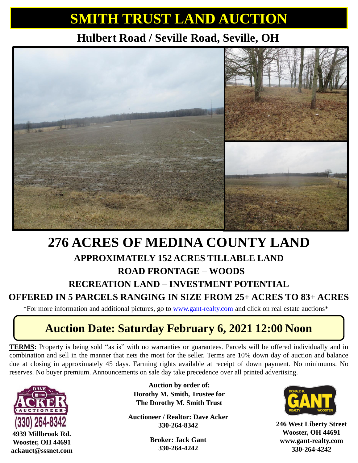# **SMITH TRUST LAND AUCTION**

## **Hulbert Road / Seville Road, Seville, OH**



## **276 ACRES OF MEDINA COUNTY LAND APPROXIMATELY 152 ACRES TILLABLE LAND ROAD FRONTAGE – WOODS RECREATION LAND – INVESTMENT POTENTIAL**

#### **OFFERED IN 5 PARCELS RANGING IN SIZE FROM 25+ ACRES TO 83+ ACRES**

\*For more information and additional pictures, go to [www.gant-realty.com](http://www.gant-realty.com/) and click on real estate auctions\*

## **Auction Date: Saturday February 6, 2021 12:00 Noon**

**TERMS:** Property is being sold "as is" with no warranties or guarantees. Parcels will be offered individually and in combination and sell in the manner that nets the most for the seller. Terms are 10% down day of auction and balance due at closing in approximately 45 days. Farming rights available at receipt of down payment. No minimums. No reserves. No buyer premium. Announcements on sale day take precedence over all printed advertising.



**4939 Millbrook Rd. Wooster, OH 44691 ackauct@sssnet.com**

**Auction by order of: Dorothy M. Smith, Trustee for The Dorothy M. Smith Trust**

**Auctioneer / Realtor: Dave Acker 330-264-8342**

> **Broker: Jack Gant 330-264-4242**



**246 West Liberty Street Wooster, OH 44691 www.gant-realty.com 330-264-4242**